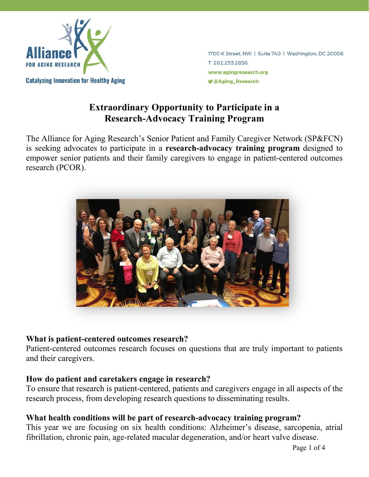

1700 K Street, NW | Suite 740 | Washington, DC 20006 T 202.293.2856 www.agingresearch.org *J* @Aging Research

# **Extraordinary Opportunity to Participate in a Research-Advocacy Training Program**

The Alliance for Aging Research's Senior Patient and Family Caregiver Network (SP&FCN) is seeking advocates to participate in a **research-advocacy training program** designed to empower senior patients and their family caregivers to engage in patient-centered outcomes research (PCOR).



#### **What is patient-centered outcomes research?**

Patient-centered outcomes research focuses on questions that are truly important to patients and their caregivers.

# **How do patient and caretakers engage in research?**

To ensure that research is patient-centered, patients and caregivers engage in all aspects of the research process, from developing research questions to disseminating results.

# **What health conditions will be part of research-advocacy training program?**

This year we are focusing on six health conditions: Alzheimer's disease, sarcopenia, atrial fibrillation, chronic pain, age-related macular degeneration, and/or heart valve disease.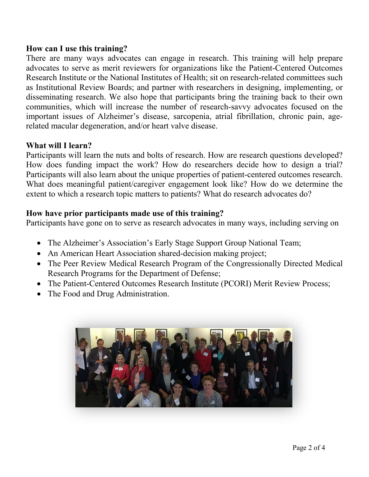#### **How can I use this training?**

There are many ways advocates can engage in research. This training will help prepare advocates to serve as merit reviewers for organizations like the Patient-Centered Outcomes Research Institute or the National Institutes of Health; sit on research-related committees such as Institutional Review Boards; and partner with researchers in designing, implementing, or disseminating research. We also hope that participants bring the training back to their own communities, which will increase the number of research-savvy advocates focused on the important issues of Alzheimer's disease, sarcopenia, atrial fibrillation, chronic pain, agerelated macular degeneration, and/or heart valve disease.

# **What will I learn?**

Participants will learn the nuts and bolts of research. How are research questions developed? How does funding impact the work? How do researchers decide how to design a trial? Participants will also learn about the unique properties of patient-centered outcomes research. What does meaningful patient/caregiver engagement look like? How do we determine the extent to which a research topic matters to patients? What do research advocates do?

## **How have prior participants made use of this training?**

Participants have gone on to serve as research advocates in many ways, including serving on

- The Alzheimer's Association's Early Stage Support Group National Team;
- An American Heart Association shared-decision making project;
- The Peer Review Medical Research Program of the Congressionally Directed Medical Research Programs for the Department of Defense;
- The Patient-Centered Outcomes Research Institute (PCORI) Merit Review Process;
- The Food and Drug Administration.

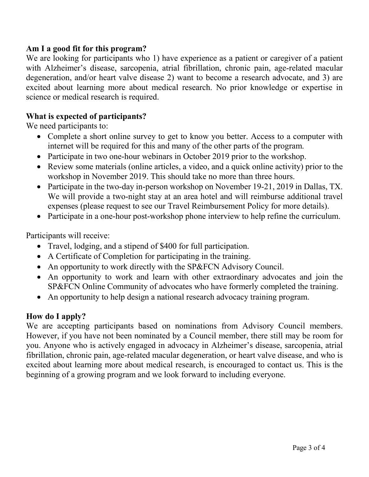### **Am I a good fit for this program?**

We are looking for participants who 1) have experience as a patient or caregiver of a patient with Alzheimer's disease, sarcopenia, atrial fibrillation, chronic pain, age-related macular degeneration, and/or heart valve disease 2) want to become a research advocate, and 3) are excited about learning more about medical research. No prior knowledge or expertise in science or medical research is required.

## **What is expected of participants?**

We need participants to:

- Complete a short online survey to get to know you better. Access to a computer with internet will be required for this and many of the other parts of the program.
- Participate in two one-hour webinars in October 2019 prior to the workshop.
- Review some materials (online articles, a video, and a quick online activity) prior to the workshop in November 2019. This should take no more than three hours.
- Participate in the two-day in-person workshop on November 19-21, 2019 in Dallas, TX. We will provide a two-night stay at an area hotel and will reimburse additional travel expenses (please request to see our Travel Reimbursement Policy for more details).
- Participate in a one-hour post-workshop phone interview to help refine the curriculum.

Participants will receive:

- Travel, lodging, and a stipend of \$400 for full participation.
- A Certificate of Completion for participating in the training.
- An opportunity to work directly with the SP&FCN Advisory Council.
- An opportunity to work and learn with other extraordinary advocates and join the SP&FCN Online Community of advocates who have formerly completed the training.
- An opportunity to help design a national research advocacy training program.

# **How do I apply?**

We are accepting participants based on nominations from Advisory Council members. However, if you have not been nominated by a Council member, there still may be room for you. Anyone who is actively engaged in advocacy in Alzheimer's disease, sarcopenia, atrial fibrillation, chronic pain, age-related macular degeneration, or heart valve disease, and who is excited about learning more about medical research, is encouraged to contact us. This is the beginning of a growing program and we look forward to including everyone.